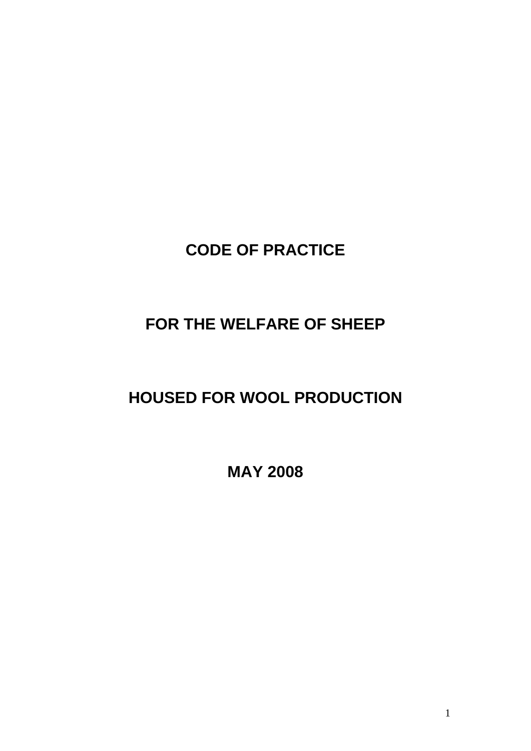# **CODE OF PRACTICE**

# **FOR THE WELFARE OF SHEEP**

# **HOUSED FOR WOOL PRODUCTION**

**MAY 2008**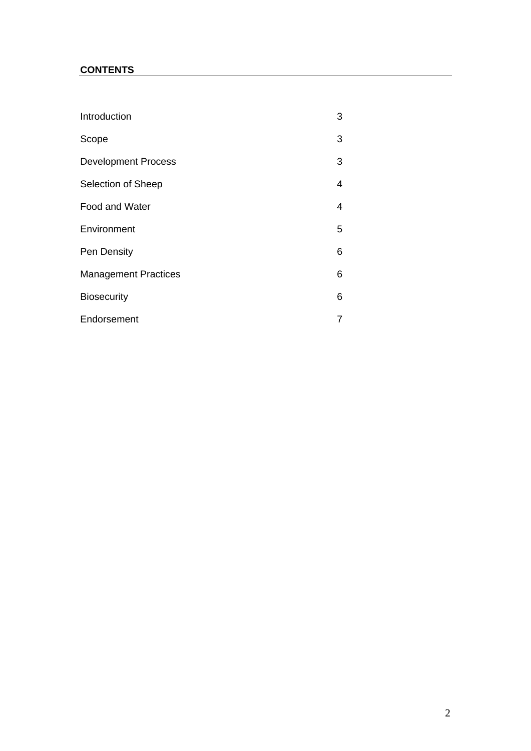# **CONTENTS**

| Introduction                | 3 |
|-----------------------------|---|
| Scope                       | 3 |
| <b>Development Process</b>  | 3 |
| Selection of Sheep          | 4 |
| Food and Water              | 4 |
| Environment                 | 5 |
| Pen Density                 | 6 |
| <b>Management Practices</b> | 6 |
| <b>Biosecurity</b>          | 6 |
| Endorsement                 | 7 |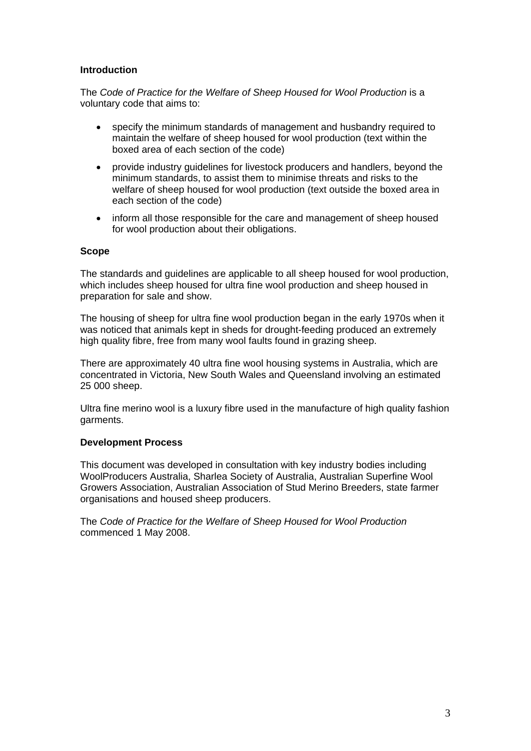#### **Introduction**

The *Code of Practice for the Welfare of Sheep Housed for Wool Production* is a voluntary code that aims to:

- specify the minimum standards of management and husbandry required to maintain the welfare of sheep housed for wool production (text within the boxed area of each section of the code)
- provide industry guidelines for livestock producers and handlers, beyond the minimum standards, to assist them to minimise threats and risks to the welfare of sheep housed for wool production (text outside the boxed area in each section of the code)
- inform all those responsible for the care and management of sheep housed for wool production about their obligations.

#### **Scope**

The standards and guidelines are applicable to all sheep housed for wool production, which includes sheep housed for ultra fine wool production and sheep housed in preparation for sale and show.

The housing of sheep for ultra fine wool production began in the early 1970s when it was noticed that animals kept in sheds for drought-feeding produced an extremely high quality fibre, free from many wool faults found in grazing sheep.

There are approximately 40 ultra fine wool housing systems in Australia, which are concentrated in Victoria, New South Wales and Queensland involving an estimated 25 000 sheep.

Ultra fine merino wool is a luxury fibre used in the manufacture of high quality fashion garments.

#### **Development Process**

This document was developed in consultation with key industry bodies including WoolProducers Australia, Sharlea Society of Australia, Australian Superfine Wool Growers Association, Australian Association of Stud Merino Breeders, state farmer organisations and housed sheep producers.

The *Code of Practice for the Welfare of Sheep Housed for Wool Production* commenced 1 May 2008.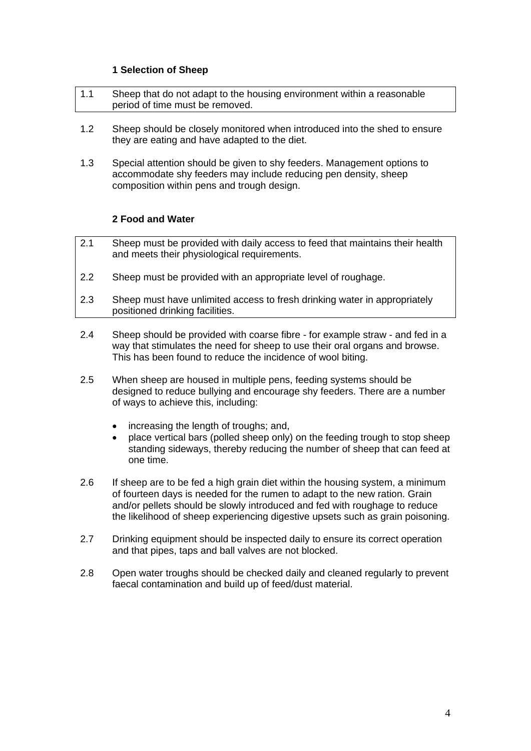#### **1 Selection of Sheep**

- 1.1 Sheep that do not adapt to the housing environment within a reasonable period of time must be removed.
- 1.2 Sheep should be closely monitored when introduced into the shed to ensure they are eating and have adapted to the diet.
- 1.3 Special attention should be given to shy feeders. Management options to accommodate shy feeders may include reducing pen density, sheep composition within pens and trough design.

### **2 Food and Water**

- 2.1 Sheep must be provided with daily access to feed that maintains their health and meets their physiological requirements.
- 2.2 Sheep must be provided with an appropriate level of roughage.
- 2.3 Sheep must have unlimited access to fresh drinking water in appropriately positioned drinking facilities.
- 2.4 Sheep should be provided with coarse fibre for example straw and fed in a way that stimulates the need for sheep to use their oral organs and browse. This has been found to reduce the incidence of wool biting.
- 2.5 When sheep are housed in multiple pens, feeding systems should be designed to reduce bullying and encourage shy feeders. There are a number of ways to achieve this, including:
	- increasing the length of troughs; and,
	- place vertical bars (polled sheep only) on the feeding trough to stop sheep standing sideways, thereby reducing the number of sheep that can feed at one time.
- 2.6 If sheep are to be fed a high grain diet within the housing system, a minimum of fourteen days is needed for the rumen to adapt to the new ration. Grain and/or pellets should be slowly introduced and fed with roughage to reduce the likelihood of sheep experiencing digestive upsets such as grain poisoning.
- 2.7 Drinking equipment should be inspected daily to ensure its correct operation and that pipes, taps and ball valves are not blocked.
- 2.8 Open water troughs should be checked daily and cleaned regularly to prevent faecal contamination and build up of feed/dust material.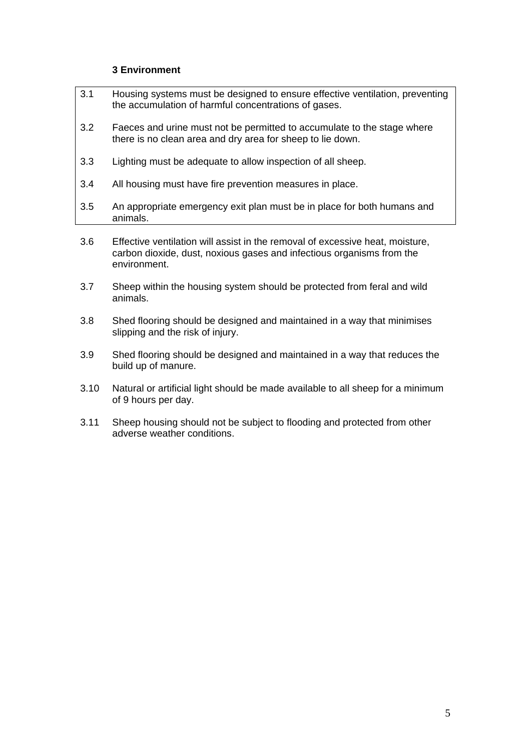## **3 Environment**

- 3.1 Housing systems must be designed to ensure effective ventilation, preventing the accumulation of harmful concentrations of gases.
- 3.2 Faeces and urine must not be permitted to accumulate to the stage where there is no clean area and dry area for sheep to lie down.
- 3.3 Lighting must be adequate to allow inspection of all sheep.
- 3.4 All housing must have fire prevention measures in place.
- 3.5 An appropriate emergency exit plan must be in place for both humans and animals.
- 3.6 Effective ventilation will assist in the removal of excessive heat, moisture, carbon dioxide, dust, noxious gases and infectious organisms from the environment.
- 3.7 Sheep within the housing system should be protected from feral and wild animals.
- 3.8 Shed flooring should be designed and maintained in a way that minimises slipping and the risk of injury.
- 3.9 Shed flooring should be designed and maintained in a way that reduces the build up of manure.
- 3.10 Natural or artificial light should be made available to all sheep for a minimum of 9 hours per day.
- 3.11 Sheep housing should not be subject to flooding and protected from other adverse weather conditions.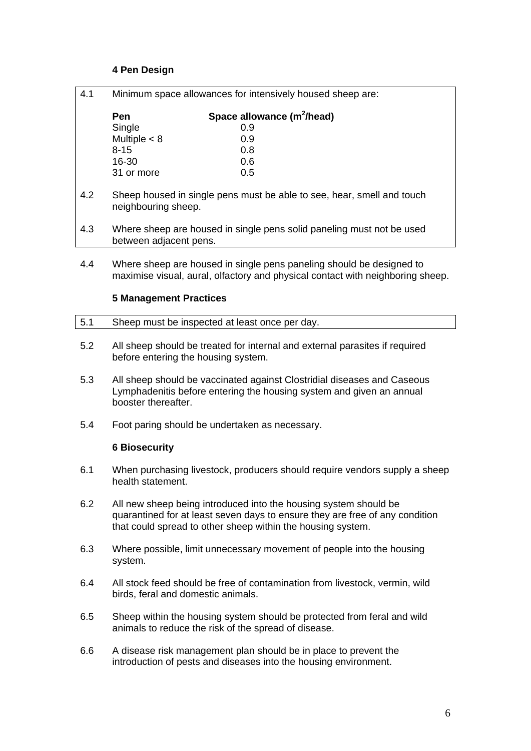## **4 Pen Design**

| 4.1 | Minimum space allowances for intensively housed sheep are:                                                                                             |                                                                                                                                                  |  |  |
|-----|--------------------------------------------------------------------------------------------------------------------------------------------------------|--------------------------------------------------------------------------------------------------------------------------------------------------|--|--|
|     | Pen                                                                                                                                                    | Space allowance (m <sup>2</sup> /head)                                                                                                           |  |  |
|     | Single                                                                                                                                                 | 0.9                                                                                                                                              |  |  |
|     | Multiple $<$ 8                                                                                                                                         | 0.9                                                                                                                                              |  |  |
|     | $8 - 15$                                                                                                                                               | 0.8                                                                                                                                              |  |  |
|     | 16-30                                                                                                                                                  | 0.6                                                                                                                                              |  |  |
|     | 31 or more                                                                                                                                             | 0.5                                                                                                                                              |  |  |
| 4.2 | Sheep housed in single pens must be able to see, hear, smell and touch<br>neighbouring sheep.                                                          |                                                                                                                                                  |  |  |
| 4.3 | Where sheep are housed in single pens solid paneling must not be used<br>between adjacent pens.                                                        |                                                                                                                                                  |  |  |
| 4.4 | Where sheep are housed in single pens paneling should be designed to<br>maximise visual, aural, olfactory and physical contact with neighboring sheep. |                                                                                                                                                  |  |  |
|     | <b>5 Management Practices</b>                                                                                                                          |                                                                                                                                                  |  |  |
| 5.1 |                                                                                                                                                        | Sheep must be inspected at least once per day.                                                                                                   |  |  |
| 5.2 | All sheep should be treated for internal and external parasites if required<br>before entering the housing system.                                     |                                                                                                                                                  |  |  |
| 5.3 |                                                                                                                                                        | All sheep should be vaccinated against Clostridial diseases and Caseous<br>I umphadopitic befere entering the beyoing outcom and given an annual |  |  |

- Lymphadenitis before entering the housing system and given an annual booster thereafter.
- 5.4 Foot paring should be undertaken as necessary.

### **6 Biosecurity**

- 6.1 When purchasing livestock, producers should require vendors supply a sheep health statement.
- 6.2 All new sheep being introduced into the housing system should be quarantined for at least seven days to ensure they are free of any condition that could spread to other sheep within the housing system.
- 6.3 Where possible, limit unnecessary movement of people into the housing system.
- 6.4 All stock feed should be free of contamination from livestock, vermin, wild birds, feral and domestic animals.
- 6.5 Sheep within the housing system should be protected from feral and wild animals to reduce the risk of the spread of disease.
- 6.6 A disease risk management plan should be in place to prevent the introduction of pests and diseases into the housing environment.